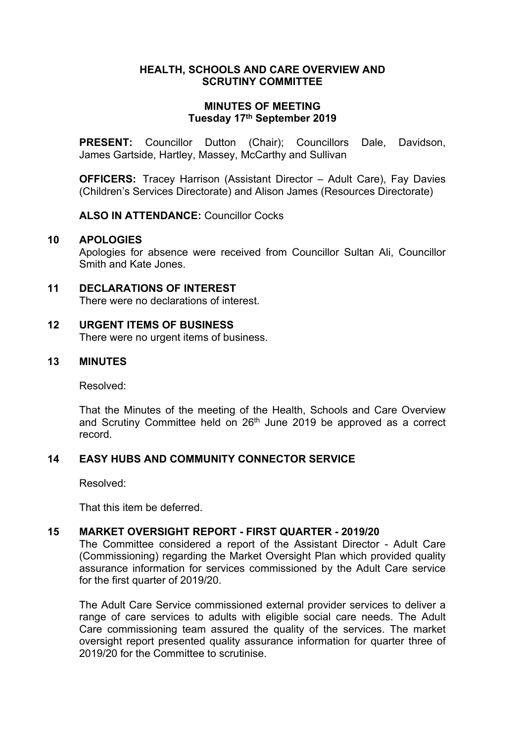#### **HEALTH, SCHOOLS AND CARE OVERVIEW AND SCRUTINY COMMITTEE**

#### **MINUTES OF MEETING Tuesday 17th September 2019**

**PRESENT:** Councillor Dutton (Chair); Councillors Dale, Davidson, James Gartside, Hartley, Massey, McCarthy and Sullivan

**OFFICERS:** Tracey Harrison (Assistant Director – Adult Care), Fay Davies (Children's Services Directorate) and Alison James (Resources Directorate)

**ALSO IN ATTENDANCE:** Councillor Cocks

#### **10 APOLOGIES**

Apologies for absence were received from Councillor Sultan Ali, Councillor Smith and Kate Jones.

# **11 DECLARATIONS OF INTEREST**

There were no declarations of interest.

# **12 URGENT ITEMS OF BUSINESS**

There were no urgent items of business.

# **13 MINUTES**

Resolved:

That the Minutes of the meeting of the Health, Schools and Care Overview and Scrutiny Committee held on 26<sup>th</sup> June 2019 be approved as a correct record.

## **14 EASY HUBS AND COMMUNITY CONNECTOR SERVICE**

Resolved:

That this item be deferred.

# **15 MARKET OVERSIGHT REPORT - FIRST QUARTER - 2019/20**

The Committee considered a report of the Assistant Director - Adult Care (Commissioning) regarding the Market Oversight Plan which provided quality assurance information for services commissioned by the Adult Care service for the first quarter of 2019/20.

The Adult Care Service commissioned external provider services to deliver a range of care services to adults with eligible social care needs. The Adult Care commissioning team assured the quality of the services. The market oversight report presented quality assurance information for quarter three of 2019/20 for the Committee to scrutinise.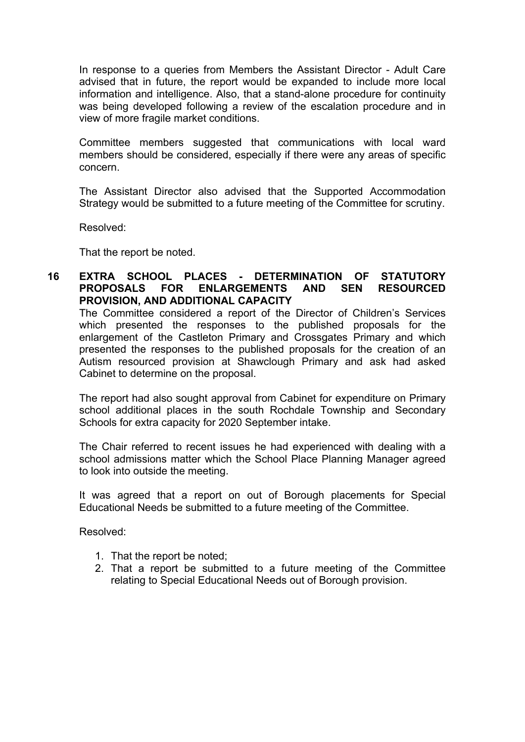In response to a queries from Members the Assistant Director - Adult Care advised that in future, the report would be expanded to include more local information and intelligence. Also, that a stand-alone procedure for continuity was being developed following a review of the escalation procedure and in view of more fragile market conditions.

Committee members suggested that communications with local ward members should be considered, especially if there were any areas of specific concern.

The Assistant Director also advised that the Supported Accommodation Strategy would be submitted to a future meeting of the Committee for scrutiny.

Resolved:

That the report be noted.

### **16 EXTRA SCHOOL PLACES - DETERMINATION OF STATUTORY PROPOSALS FOR ENLARGEMENTS AND SEN RESOURCED PROVISION, AND ADDITIONAL CAPACITY**

The Committee considered a report of the Director of Children's Services which presented the responses to the published proposals for the enlargement of the Castleton Primary and Crossgates Primary and which presented the responses to the published proposals for the creation of an Autism resourced provision at Shawclough Primary and ask had asked Cabinet to determine on the proposal.

The report had also sought approval from Cabinet for expenditure on Primary school additional places in the south Rochdale Township and Secondary Schools for extra capacity for 2020 September intake.

The Chair referred to recent issues he had experienced with dealing with a school admissions matter which the School Place Planning Manager agreed to look into outside the meeting.

It was agreed that a report on out of Borough placements for Special Educational Needs be submitted to a future meeting of the Committee.

Resolved:

- 1. That the report be noted;
- 2. That a report be submitted to a future meeting of the Committee relating to Special Educational Needs out of Borough provision.